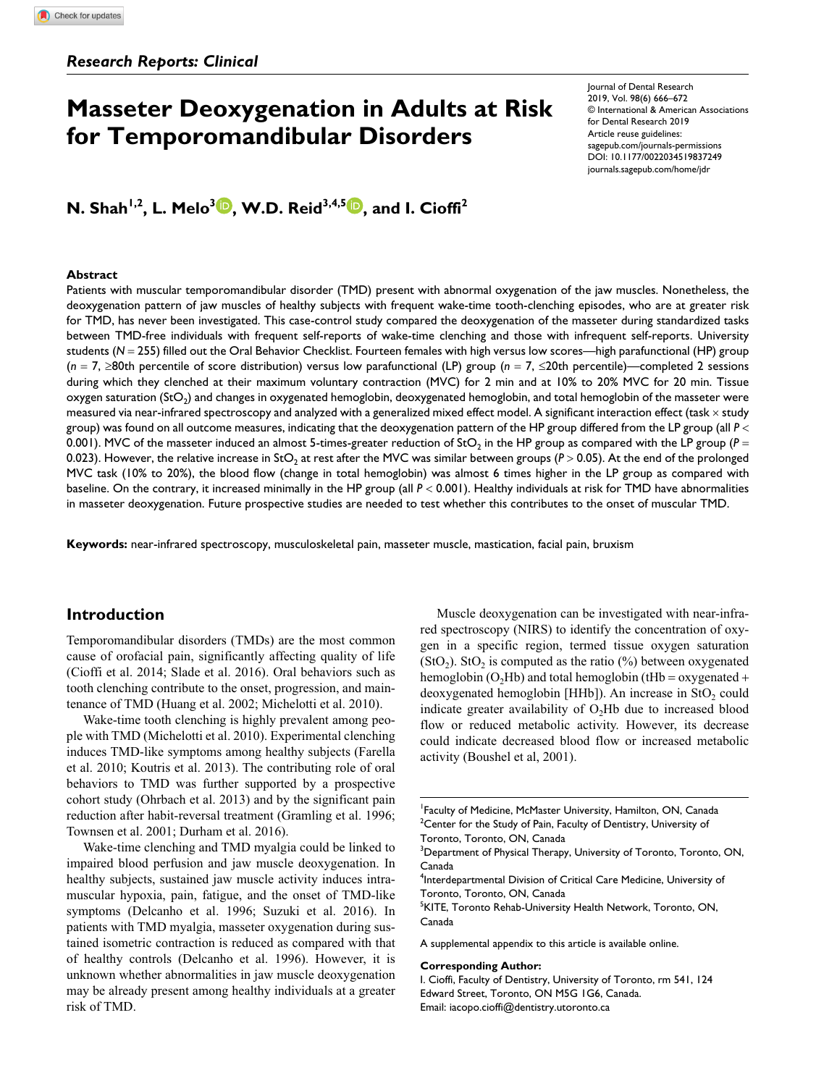# **Masseter Deoxygenation in Adults at Risk for Temporomandibular Disorders**

**N. Shah<sup>1,2</sup>, L. Melo<sup>3</sup> <b>D**, W.D. Reid<sup>3,4,5</sup> D, and I. Cioffi<sup>2</sup>

#### **Abstract**

https://doi.org/10.1177/0022034519837249 DOI: 10.1177/0022034519837249 Journal of Dental Research 2019, Vol. 98(6) 666–672 © International & American Associations for Dental Research 2019 Article reuse guidelines: [sagepub.com/journals-permissions](https://us.sagepub.com/en-us/journals-permissions) [journals.sagepub.com/home/jdr](https://journals.sagepub.com/home/jdr)

Patients with muscular temporomandibular disorder (TMD) present with abnormal oxygenation of the jaw muscles. Nonetheless, the deoxygenation pattern of jaw muscles of healthy subjects with frequent wake-time tooth-clenching episodes, who are at greater risk for TMD, has never been investigated. This case-control study compared the deoxygenation of the masseter during standardized tasks between TMD-free individuals with frequent self-reports of wake-time clenching and those with infrequent self-reports. University students (*N* = 255) filled out the Oral Behavior Checklist. Fourteen females with high versus low scores—high parafunctional (HP) group (*n* = 7, ≥80th percentile of score distribution) versus low parafunctional (LP) group (*n* = 7, ≤20th percentile)—completed 2 sessions during which they clenched at their maximum voluntary contraction (MVC) for 2 min and at 10% to 20% MVC for 20 min. Tissue  $o$ xygen saturation (StO<sub>2</sub>) and changes in oxygenated hemoglobin, deoxygenated hemoglobin, and total hemoglobin of the masseter were measured via near-infrared spectroscopy and analyzed with a generalized mixed effect model. A significant interaction effect (task × study group) was found on all outcome measures, indicating that the deoxygenation pattern of the HP group differed from the LP group (all *P* < 0.001). MVC of the masseter induced an almost 5-times-greater reduction of StO<sub>2</sub> in the HP group as compared with the LP group ( $P =$ 0.023). However, the relative increase in StO<sub>2</sub> at rest after the MVC was similar between groups ( $P > 0.05$ ). At the end of the prolonged MVC task (10% to 20%), the blood flow (change in total hemoglobin) was almost 6 times higher in the LP group as compared with baseline. On the contrary, it increased minimally in the HP group (all *P* < 0.001). Healthy individuals at risk for TMD have abnormalities in masseter deoxygenation. Future prospective studies are needed to test whether this contributes to the onset of muscular TMD.

**Keywords:** near-infrared spectroscopy, musculoskeletal pain, masseter muscle, mastication, facial pain, bruxism

## **Introduction**

Temporomandibular disorders (TMDs) are the most common cause of orofacial pain, significantly affecting quality of life (Cioffi et al. 2014; Slade et al. 2016). Oral behaviors such as tooth clenching contribute to the onset, progression, and maintenance of TMD (Huang et al. 2002; Michelotti et al. 2010).

Wake-time tooth clenching is highly prevalent among people with TMD (Michelotti et al. 2010). Experimental clenching induces TMD-like symptoms among healthy subjects (Farella et al. 2010; Koutris et al. 2013). The contributing role of oral behaviors to TMD was further supported by a prospective cohort study (Ohrbach et al. 2013) and by the significant pain reduction after habit-reversal treatment (Gramling et al. 1996; Townsen et al. 2001; Durham et al. 2016).

Wake-time clenching and TMD myalgia could be linked to impaired blood perfusion and jaw muscle deoxygenation. In healthy subjects, sustained jaw muscle activity induces intramuscular hypoxia, pain, fatigue, and the onset of TMD-like symptoms (Delcanho et al. 1996; Suzuki et al. 2016). In patients with TMD myalgia, masseter oxygenation during sustained isometric contraction is reduced as compared with that of healthy controls (Delcanho et al. 1996). However, it is unknown whether abnormalities in jaw muscle deoxygenation may be already present among healthy individuals at a greater risk of TMD.

Muscle deoxygenation can be investigated with near-infrared spectroscopy (NIRS) to identify the concentration of oxygen in a specific region, termed tissue oxygen saturation  $(StO<sub>2</sub>)$ . StO<sub>2</sub> is computed as the ratio  $(\%)$  between oxygenated hemoglobin (O<sub>2</sub>Hb) and total hemoglobin (tHb = oxygenated + deoxygenated hemoglobin [HHb]). An increase in  $StO<sub>2</sub>$  could indicate greater availability of  $O<sub>2</sub>$ Hb due to increased blood flow or reduced metabolic activity. However, its decrease could indicate decreased blood flow or increased metabolic activity (Boushel et al, 2001).

1 Faculty of Medicine, McMaster University, Hamilton, ON, Canada  $2$ Center for the Study of Pain, Faculty of Dentistry, University of Toronto, Toronto, ON, Canada

<sup>5</sup>KITE, Toronto Rehab-University Health Network, Toronto, ON, Canada

A supplemental appendix to this article is available online.

#### **Corresponding Author:**

I. Cioffi, Faculty of Dentistry, University of Toronto, rm 541, 124 Edward Street, Toronto, ON M5G 1G6, Canada. Email: iacopo.cioffi@dentistry.utoronto.ca

 $^3$ Department of Physical Therapy, University of Toronto, Toronto, ON, Canada

<sup>4</sup> Interdepartmental Division of Critical Care Medicine, University of Toronto, Toronto, ON, Canada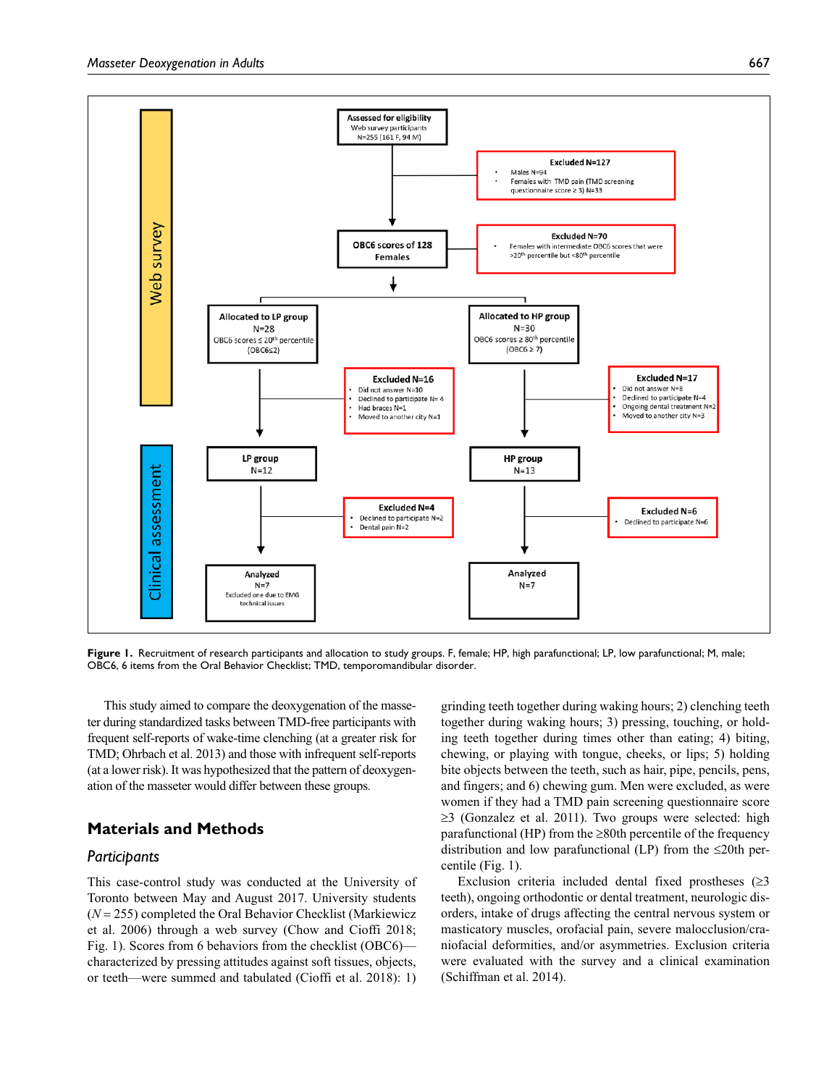

Figure 1. Recruitment of research participants and allocation to study groups. F, female; HP, high parafunctional; LP, low parafunctional; M, male; OBC6, 6 items from the Oral Behavior Checklist; TMD, temporomandibular disorder.

This study aimed to compare the deoxygenation of the masseter during standardized tasks between TMD-free participants with frequent self-reports of wake-time clenching (at a greater risk for TMD; Ohrbach et al. 2013) and those with infrequent self-reports (at a lower risk). It was hypothesized that the pattern of deoxygenation of the masseter would differ between these groups.

# **Materials and Methods**

## *Participants*

This case-control study was conducted at the University of Toronto between May and August 2017. University students (*N* = 255) completed the Oral Behavior Checklist (Markiewicz et al. 2006) through a web survey (Chow and Cioffi 2018; Fig. 1). Scores from 6 behaviors from the checklist (OBC6) characterized by pressing attitudes against soft tissues, objects, or teeth—were summed and tabulated (Cioffi et al. 2018): 1)

grinding teeth together during waking hours; 2) clenching teeth together during waking hours; 3) pressing, touching, or holding teeth together during times other than eating; 4) biting, chewing, or playing with tongue, cheeks, or lips; 5) holding bite objects between the teeth, such as hair, pipe, pencils, pens, and fingers; and 6) chewing gum. Men were excluded, as were women if they had a TMD pain screening questionnaire score ≥3 (Gonzalez et al. 2011). Two groups were selected: high parafunctional (HP) from the  $\geq$ 80th percentile of the frequency distribution and low parafunctional (LP) from the  $\leq 20$ th percentile (Fig. 1).

Exclusion criteria included dental fixed prostheses  $(≥3)$ teeth), ongoing orthodontic or dental treatment, neurologic disorders, intake of drugs affecting the central nervous system or masticatory muscles, orofacial pain, severe malocclusion/craniofacial deformities, and/or asymmetries. Exclusion criteria were evaluated with the survey and a clinical examination (Schiffman et al. 2014).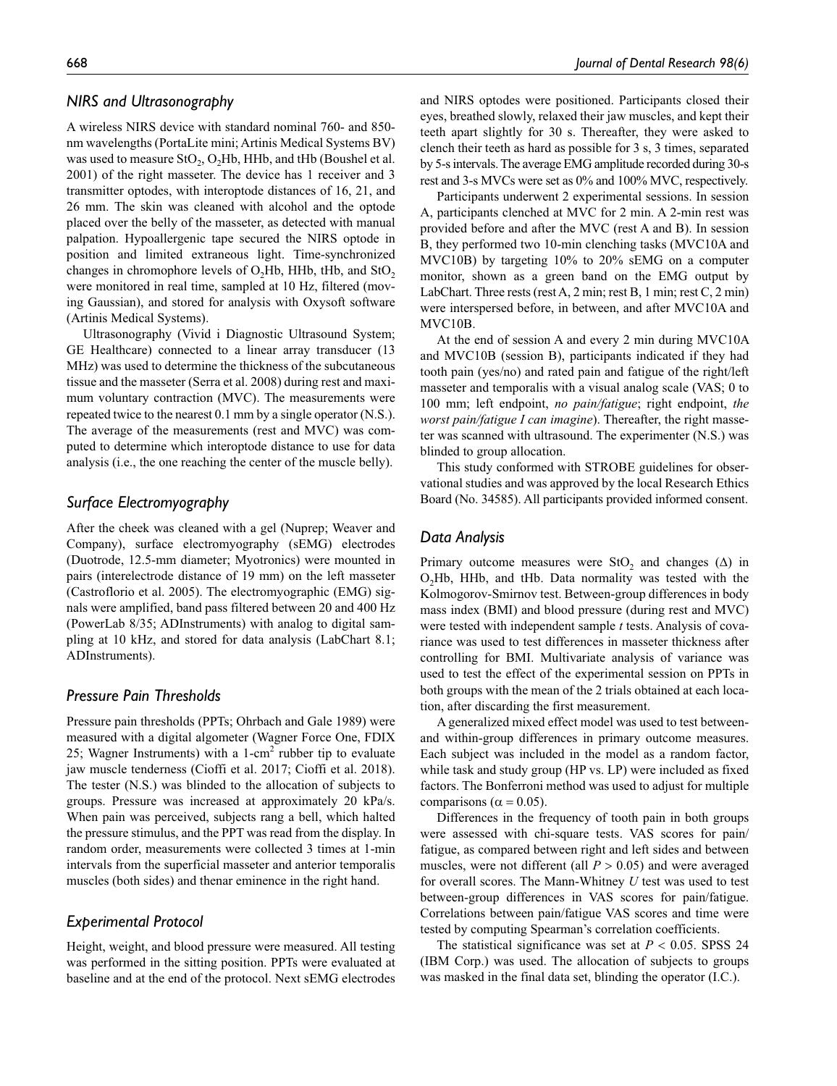# *NIRS and Ultrasonography*

A wireless NIRS device with standard nominal 760- and 850 nm wavelengths (PortaLite mini; Artinis Medical Systems BV) was used to measure  $StO_2$ ,  $O_2Hb$ ,  $HHb$ , and  $tHb$  (Boushel et al. 2001) of the right masseter. The device has 1 receiver and 3 transmitter optodes, with interoptode distances of 16, 21, and 26 mm. The skin was cleaned with alcohol and the optode placed over the belly of the masseter, as detected with manual palpation. Hypoallergenic tape secured the NIRS optode in position and limited extraneous light. Time-synchronized changes in chromophore levels of  $O_2Hb$ , HHb, tHb, and StO<sub>2</sub> were monitored in real time, sampled at 10 Hz, filtered (moving Gaussian), and stored for analysis with Oxysoft software (Artinis Medical Systems).

Ultrasonography (Vivid i Diagnostic Ultrasound System; GE Healthcare) connected to a linear array transducer (13 MHz) was used to determine the thickness of the subcutaneous tissue and the masseter (Serra et al. 2008) during rest and maximum voluntary contraction (MVC). The measurements were repeated twice to the nearest 0.1 mm by a single operator (N.S.). The average of the measurements (rest and MVC) was computed to determine which interoptode distance to use for data analysis (i.e., the one reaching the center of the muscle belly).

## *Surface Electromyography*

After the cheek was cleaned with a gel (Nuprep; Weaver and Company), surface electromyography (sEMG) electrodes (Duotrode, 12.5-mm diameter; Myotronics) were mounted in pairs (interelectrode distance of 19 mm) on the left masseter (Castroflorio et al. 2005). The electromyographic (EMG) signals were amplified, band pass filtered between 20 and 400 Hz (PowerLab 8/35; ADInstruments) with analog to digital sampling at 10 kHz, and stored for data analysis (LabChart 8.1; ADInstruments).

#### *Pressure Pain Thresholds*

Pressure pain thresholds (PPTs; Ohrbach and Gale 1989) were measured with a digital algometer (Wagner Force One, FDIX 25; Wagner Instruments) with a  $1$ -cm<sup>2</sup> rubber tip to evaluate jaw muscle tenderness (Cioffi et al. 2017; Cioffi et al. 2018). The tester (N.S.) was blinded to the allocation of subjects to groups. Pressure was increased at approximately 20 kPa/s. When pain was perceived, subjects rang a bell, which halted the pressure stimulus, and the PPT was read from the display. In random order, measurements were collected 3 times at 1-min intervals from the superficial masseter and anterior temporalis muscles (both sides) and thenar eminence in the right hand.

## *Experimental Protocol*

Height, weight, and blood pressure were measured. All testing was performed in the sitting position. PPTs were evaluated at baseline and at the end of the protocol. Next sEMG electrodes

and NIRS optodes were positioned. Participants closed their eyes, breathed slowly, relaxed their jaw muscles, and kept their teeth apart slightly for 30 s. Thereafter, they were asked to clench their teeth as hard as possible for 3 s, 3 times, separated by 5-s intervals. The average EMG amplitude recorded during 30-s rest and 3-s MVCs were set as 0% and 100% MVC, respectively.

Participants underwent 2 experimental sessions. In session A, participants clenched at MVC for 2 min. A 2-min rest was provided before and after the MVC (rest A and B). In session B, they performed two 10-min clenching tasks (MVC10A and MVC10B) by targeting 10% to 20% sEMG on a computer monitor, shown as a green band on the EMG output by LabChart. Three rests (rest A, 2 min; rest B, 1 min; rest C, 2 min) were interspersed before, in between, and after MVC10A and MVC10B.

At the end of session A and every 2 min during MVC10A and MVC10B (session B), participants indicated if they had tooth pain (yes/no) and rated pain and fatigue of the right/left masseter and temporalis with a visual analog scale (VAS; 0 to 100 mm; left endpoint, *no pain/fatigue*; right endpoint, *the worst pain/fatigue I can imagine*). Thereafter, the right masseter was scanned with ultrasound. The experimenter (N.S.) was blinded to group allocation.

This study conformed with STROBE guidelines for observational studies and was approved by the local Research Ethics Board (No. 34585). All participants provided informed consent.

## *Data Analysis*

Primary outcome measures were StO<sub>2</sub> and changes  $(\Delta)$  in O<sub>2</sub>Hb, HHb, and tHb. Data normality was tested with the Kolmogorov-Smirnov test. Between-group differences in body mass index (BMI) and blood pressure (during rest and MVC) were tested with independent sample *t* tests. Analysis of covariance was used to test differences in masseter thickness after controlling for BMI. Multivariate analysis of variance was used to test the effect of the experimental session on PPTs in both groups with the mean of the 2 trials obtained at each location, after discarding the first measurement.

A generalized mixed effect model was used to test betweenand within-group differences in primary outcome measures. Each subject was included in the model as a random factor, while task and study group (HP vs. LP) were included as fixed factors. The Bonferroni method was used to adjust for multiple comparisons ( $\alpha = 0.05$ ).

Differences in the frequency of tooth pain in both groups were assessed with chi-square tests. VAS scores for pain/ fatigue, as compared between right and left sides and between muscles, were not different (all *P* > 0.05) and were averaged for overall scores. The Mann-Whitney *U* test was used to test between-group differences in VAS scores for pain/fatigue. Correlations between pain/fatigue VAS scores and time were tested by computing Spearman's correlation coefficients.

The statistical significance was set at  $P < 0.05$ . SPSS 24 (IBM Corp.) was used. The allocation of subjects to groups was masked in the final data set, blinding the operator (I.C.).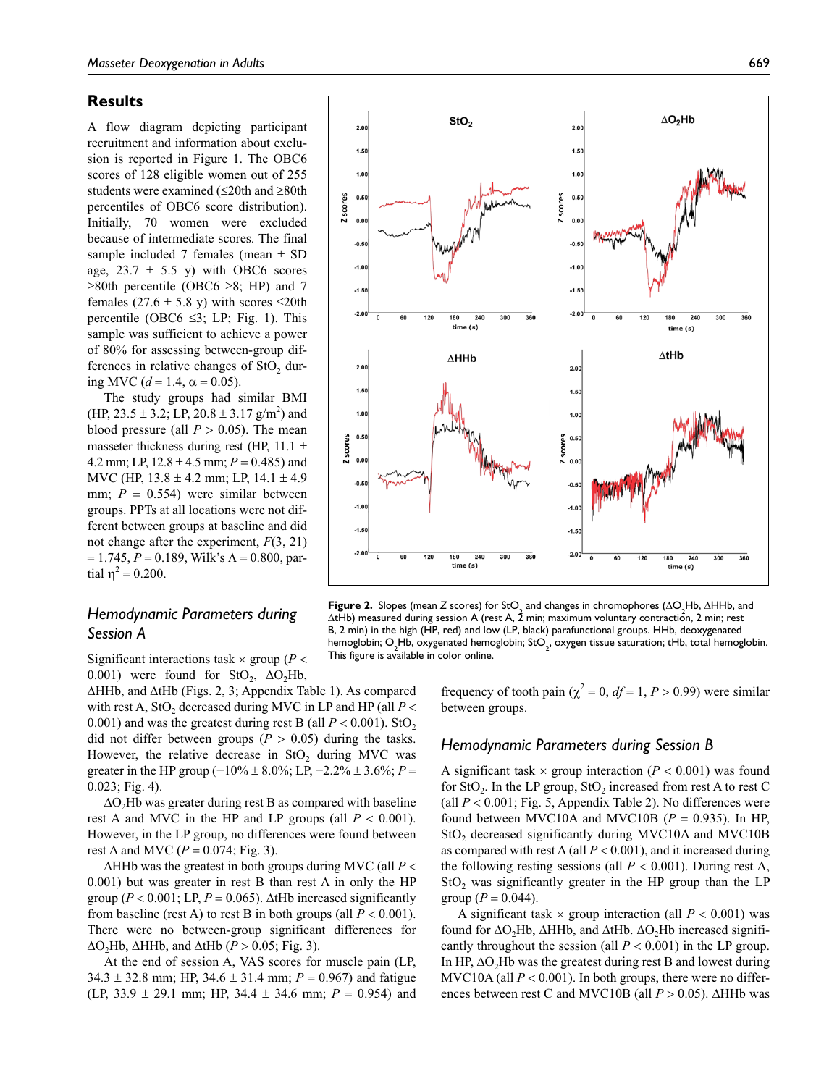### **Results**

A flow diagram depicting participant recruitment and information about exclusion is reported in Figure 1. The OBC6 scores of 128 eligible women out of 255 students were examined (≤20th and ≥80th percentiles of OBC6 score distribution). Initially, 70 women were excluded because of intermediate scores. The final sample included 7 females (mean  $\pm$  SD age,  $23.7 \pm 5.5$  y) with OBC6 scores ≥80th percentile (OBC6 ≥8; HP) and 7 females (27.6  $\pm$  5.8 y) with scores  $\leq$ 20th percentile (OBC6  $\leq$ 3; LP; Fig. 1). This sample was sufficient to achieve a power of 80% for assessing between-group differences in relative changes of  $StO$ , during MVC ( $d = 1.4$ ,  $\alpha = 0.05$ ).

The study groups had similar BMI  $(HP, 23.5 \pm 3.2; LP, 20.8 \pm 3.17 \text{ g/m}^2)$  and blood pressure (all  $P > 0.05$ ). The mean masseter thickness during rest (HP, 11.1  $\pm$ 4.2 mm; LP, 12.8 ± 4.5 mm; *P* = 0.485) and MVC (HP,  $13.8 \pm 4.2$  mm; LP,  $14.1 \pm 4.9$ mm;  $P = 0.554$ ) were similar between groups. PPTs at all locations were not different between groups at baseline and did not change after the experiment, *F*(3, 21)  $= 1.745, P = 0.189$ , Wilk's  $\Lambda = 0.800$ , partial  $η^2 = 0.200$ .

# *Hemodynamic Parameters during Session A*

Significant interactions task  $\times$  group ( $P$  < 0.001) were found for  $StO_2$ ,  $\Delta O_2Hb$ ,

ΔHHb, and ΔtHb (Figs. 2, 3; Appendix Table 1). As compared with rest A,  $StO<sub>2</sub>$  decreased during MVC in LP and HP (all  $P <$ 0.001) and was the greatest during rest B (all  $P < 0.001$ ). StO<sub>2</sub> did not differ between groups ( $P > 0.05$ ) during the tasks. However, the relative decrease in  $StO<sub>2</sub>$  during MVC was greater in the HP group ( $-10\% \pm 8.0\%$ ; LP,  $-2.2\% \pm 3.6\%$ ; *P* = 0.023; Fig. 4).

 $\Delta$ O<sub>2</sub>Hb was greater during rest B as compared with baseline rest A and MVC in the HP and LP groups (all  $P < 0.001$ ). However, in the LP group, no differences were found between rest A and MVC ( $P = 0.074$ ; Fig. 3).

ΔHHb was the greatest in both groups during MVC (all *P* < 0.001) but was greater in rest B than rest A in only the HP group ( $P < 0.001$ ; LP,  $P = 0.065$ ). ΔtHb increased significantly from baseline (rest A) to rest B in both groups (all  $P < 0.001$ ). There were no between-group significant differences for  $\Delta$ O<sub>2</sub>Hb,  $\Delta$ HHb, and  $\Delta$ tHb (*P* > 0.05; Fig. 3).

At the end of session A, VAS scores for muscle pain (LP,  $34.3 \pm 32.8$  mm; HP,  $34.6 \pm 31.4$  mm;  $P = 0.967$ ) and fatigue (LP, 33.9  $\pm$  29.1 mm; HP, 34.4  $\pm$  34.6 mm; *P* = 0.954) and



 $1.50$  $1.0$ 

 $0.50$ 

 $0.00$  $-0.5$ 

 $-1.00$ 

 $-1.50$ 

 $-2.00$ 

 $2.0$ 

Z scores

StO<sub>2</sub>

180  $240$ 

 $time(s)$ 

 $\Delta$ HHb

 $2.0$  $1.5<sup>°</sup>$ 

Z scores  $0.50$ 

 $0.0$ 

 $-0.5$ 

 $-1.0$ 

 $-1.5$  $-2.00$ 

 $2.0$ 

**Figure 2.** Slopes (mean *Z* scores) for StO<sub>2</sub> and changes in chromophores ( $\Delta$ O<sub>2</sub>Hb,  $\Delta$ HHb, and  $\Delta t$ Hb) measured during session A (rest A, 2 min; maximum voluntary contraction, 2 min; rest B, 2 min) in the high (HP, red) and low (LP, black) parafunctional groups. HHb, deoxygenated hemoglobin; O<sub>2</sub>Hb, oxygenated hemoglobin; StO<sub>2</sub>, oxygen tissue saturation; tHb, total hemoglobin.<br>The second themoglobin This figure is available in color online.

frequency of tooth pain ( $\chi^2 = 0$ ,  $df = 1$ ,  $P > 0.99$ ) were similar between groups.

#### *Hemodynamic Parameters during Session B*

A significant task  $\times$  group interaction ( $P < 0.001$ ) was found for  $StO<sub>2</sub>$ . In the LP group,  $StO<sub>2</sub>$  increased from rest A to rest C (all  $P < 0.001$ ; Fig. 5, Appendix Table 2). No differences were found between MVC10A and MVC10B ( $P = 0.935$ ). In HP,  $StO<sub>2</sub>$  decreased significantly during MVC10A and MVC10B as compared with rest A (all  $P < 0.001$ ), and it increased during the following resting sessions (all  $P < 0.001$ ). During rest A,  $StO<sub>2</sub>$  was significantly greater in the HP group than the LP group ( $P = 0.044$ ).

A significant task  $\times$  group interaction (all  $P < 0.001$ ) was found for  $ΔO_2Hb$ ,  $ΔHHb$ , and  $ΔtHb$ .  $ΔO_2Hb$  increased significantly throughout the session (all *P* < 0.001) in the LP group. In HP,  $\Delta$ O<sub>2</sub>Hb was the greatest during rest B and lowest during MVC10A (all  $P < 0.001$ ). In both groups, there were no differences between rest C and MVC10B (all *P* > 0.05). ΔHHb was

 $\frac{1}{360}$ 

 $\Delta$ O<sub>2</sub>Hb

180  $\frac{1}{240}$ 

 $\Delta$ tHb

 $time(s)$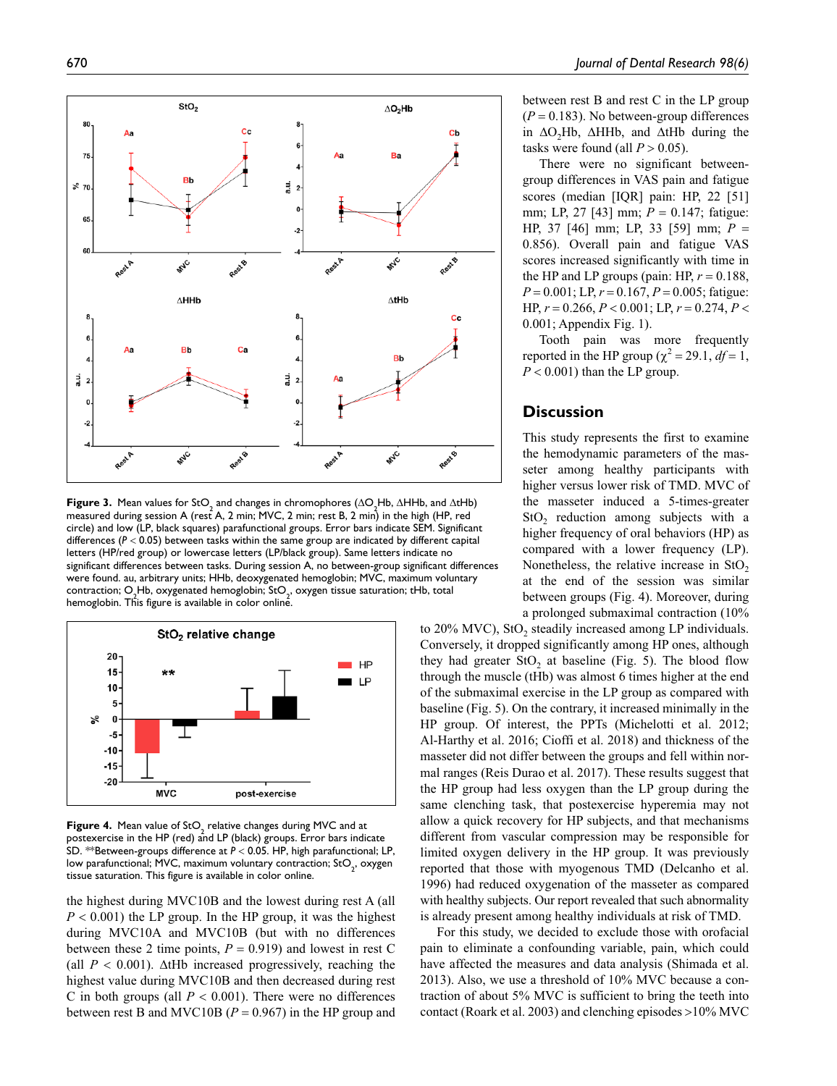

**Figure 3.** Mean values for  $$fO_2$$  and changes in chromophores ( $\triangle$ O<sub>2</sub>Hb,  $\triangle$ HHb, and  $\triangle$ tHb) measured during session A (rest A, 2 min; MVC, 2 min; rest B, 2 min) in the high (HP, red circle) and low (LP, black squares) parafunctional groups. Error bars indicate SEM. Significant differences ( $P < 0.05$ ) between tasks within the same group are indicated by different capital letters (HP/red group) or lowercase letters (LP/black group). Same letters indicate no significant differences between tasks. During session A, no between-group significant differences were found. au, arbitrary units; HHb, deoxygenated hemoglobin; MVC, maximum voluntary contraction; O<sub>2</sub>Hb, oxygenated hemoglobin; StO<sub>2</sub>, oxygen tissue saturation; tHb, total hemoglobin. This figure is available in color online.



**Figure 4.** Mean value of  $StO<sub>2</sub>$  relative changes during MVC and at postexercise in the HP (red) and LP (black) groups. Error bars indicate SD. \*\*Between-groups difference at *P* < 0.05. HP, high parafunctional; LP, low parafunctional; MVC, maximum voluntary contraction;  $StO_2$ , oxygen tissue saturation. This figure is available in color online.

the highest during MVC10B and the lowest during rest A (all  $P < 0.001$ ) the LP group. In the HP group, it was the highest during MVC10A and MVC10B (but with no differences between these 2 time points,  $P = 0.919$ ) and lowest in rest C (all  $P < 0.001$ ).  $\Delta t$ Hb increased progressively, reaching the highest value during MVC10B and then decreased during rest C in both groups (all  $P < 0.001$ ). There were no differences between rest B and MVC10B ( $P = 0.967$ ) in the HP group and between rest B and rest C in the LP group  $(P = 0.183)$ . No between-group differences in ΔO2Hb, ΔHHb, and ΔtHb during the tasks were found (all  $P > 0.05$ ).

There were no significant betweengroup differences in VAS pain and fatigue scores (median [IQR] pain: HP, 22 [51] mm; LP, 27 [43] mm; *P* = 0.147; fatigue: HP, 37 [46] mm; LP, 33 [59] mm; *P* = 0.856). Overall pain and fatigue VAS scores increased significantly with time in the HP and LP groups (pain: HP,  $r = 0.188$ , *P* = 0.001; LP, *r* = 0.167, *P* = 0.005; fatigue: HP, *r* = 0.266, *P* < 0.001; LP, *r* = 0.274, *P* < 0.001; Appendix Fig. 1).

Tooth pain was more frequently reported in the HP group ( $\chi^2$  = 29.1, *df* = 1,  $P < 0.001$ ) than the LP group.

#### **Discussion**

This study represents the first to examine the hemodynamic parameters of the masseter among healthy participants with higher versus lower risk of TMD. MVC of the masseter induced a 5-times-greater StO<sub>2</sub> reduction among subjects with a higher frequency of oral behaviors (HP) as compared with a lower frequency (LP). Nonetheless, the relative increase in  $StO<sub>2</sub>$ at the end of the session was similar between groups (Fig. 4). Moreover, during a prolonged submaximal contraction (10%

to 20% MVC), StO<sub>2</sub> steadily increased among LP individuals. Conversely, it dropped significantly among HP ones, although they had greater  $StO<sub>2</sub>$  at baseline (Fig. 5). The blood flow through the muscle (tHb) was almost 6 times higher at the end of the submaximal exercise in the LP group as compared with baseline (Fig. 5). On the contrary, it increased minimally in the HP group. Of interest, the PPTs (Michelotti et al. 2012; Al-Harthy et al. 2016; Cioffi et al. 2018) and thickness of the masseter did not differ between the groups and fell within normal ranges (Reis Durao et al. 2017). These results suggest that the HP group had less oxygen than the LP group during the same clenching task, that postexercise hyperemia may not allow a quick recovery for HP subjects, and that mechanisms different from vascular compression may be responsible for limited oxygen delivery in the HP group. It was previously reported that those with myogenous TMD (Delcanho et al. 1996) had reduced oxygenation of the masseter as compared with healthy subjects. Our report revealed that such abnormality is already present among healthy individuals at risk of TMD.

For this study, we decided to exclude those with orofacial pain to eliminate a confounding variable, pain, which could have affected the measures and data analysis (Shimada et al. 2013). Also, we use a threshold of 10% MVC because a contraction of about 5% MVC is sufficient to bring the teeth into contact (Roark et al. 2003) and clenching episodes >10% MVC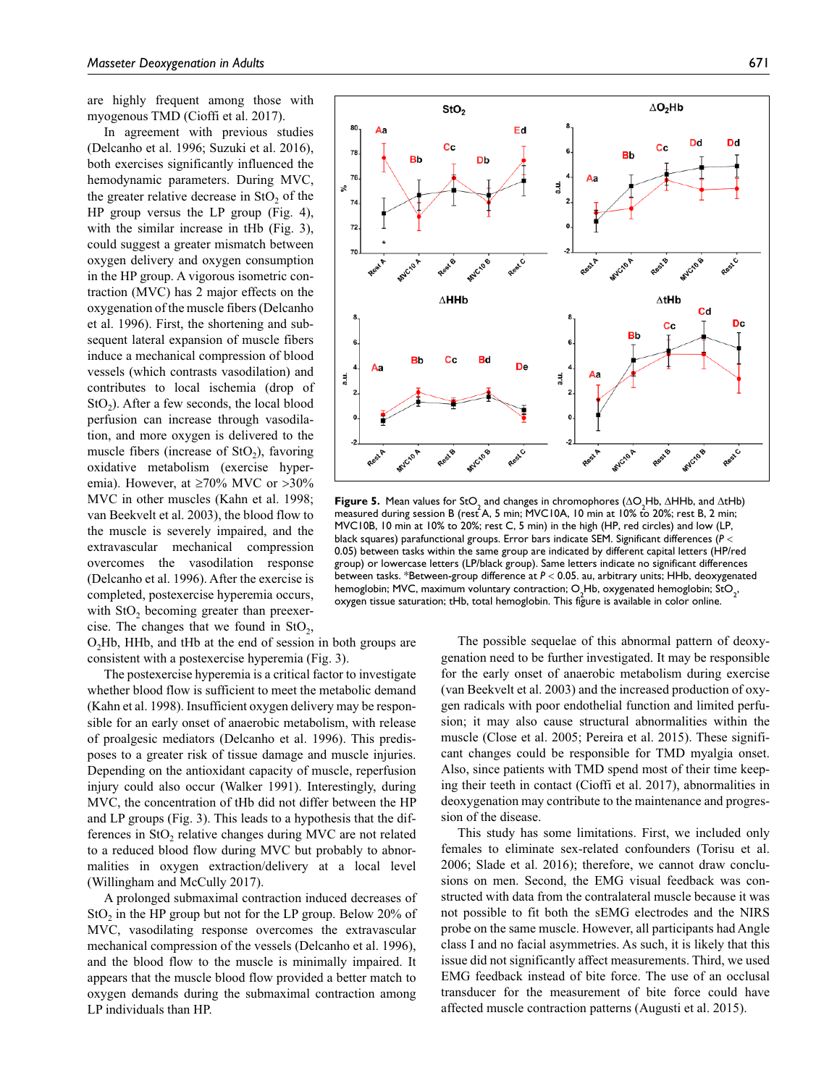are highly frequent among those with myogenous TMD (Cioffi et al. 2017).

In agreement with previous studies (Delcanho et al. 1996; Suzuki et al. 2016), both exercises significantly influenced the hemodynamic parameters. During MVC, the greater relative decrease in StO<sub>2</sub> of the HP group versus the LP group (Fig. 4), with the similar increase in tHb (Fig. 3), could suggest a greater mismatch between oxygen delivery and oxygen consumption in the HP group. A vigorous isometric contraction (MVC) has 2 major effects on the oxygenation of the muscle fibers (Delcanho et al. 1996). First, the shortening and subsequent lateral expansion of muscle fibers induce a mechanical compression of blood vessels (which contrasts vasodilation) and contributes to local ischemia (drop of  $StO<sub>2</sub>$ ). After a few seconds, the local blood perfusion can increase through vasodilation, and more oxygen is delivered to the muscle fibers (increase of  $StO<sub>2</sub>$ ), favoring oxidative metabolism (exercise hyperemia). However, at  $\geq 70\%$  MVC or  $>30\%$ MVC in other muscles (Kahn et al. 1998; van Beekvelt et al. 2003), the blood flow to the muscle is severely impaired, and the extravascular mechanical compression overcomes the vasodilation response (Delcanho et al. 1996). After the exercise is completed, postexercise hyperemia occurs, with  $StO<sub>2</sub>$  becoming greater than preexercise. The changes that we found in  $StO<sub>2</sub>$ ,

O<sub>2</sub>Hb, HHb, and tHb at the end of session in both groups are consistent with a postexercise hyperemia (Fig. 3).

The postexercise hyperemia is a critical factor to investigate whether blood flow is sufficient to meet the metabolic demand (Kahn et al. 1998). Insufficient oxygen delivery may be responsible for an early onset of anaerobic metabolism, with release of proalgesic mediators (Delcanho et al. 1996). This predisposes to a greater risk of tissue damage and muscle injuries. Depending on the antioxidant capacity of muscle, reperfusion injury could also occur (Walker 1991). Interestingly, during MVC, the concentration of tHb did not differ between the HP and LP groups (Fig. 3). This leads to a hypothesis that the differences in StO<sub>2</sub> relative changes during MVC are not related to a reduced blood flow during MVC but probably to abnormalities in oxygen extraction/delivery at a local level (Willingham and McCully 2017).

A prolonged submaximal contraction induced decreases of  $StO<sub>2</sub>$  in the HP group but not for the LP group. Below 20% of MVC, vasodilating response overcomes the extravascular mechanical compression of the vessels (Delcanho et al. 1996), and the blood flow to the muscle is minimally impaired. It appears that the muscle blood flow provided a better match to oxygen demands during the submaximal contraction among LP individuals than HP.



**Figure 5.** Mean values for StO<sub>2</sub> and changes in chromophores  $(\Delta Q, Hb, \Delta H Hb, \text{ and } \Delta t Hb)$ measured during session B (rest A, 5 min; MVC10A, 10 min at 10% to 20%; rest B, 2 min; MVC10B, 10 min at 10% to 20%; rest C, 5 min) in the high (HP, red circles) and low (LP, black squares) parafunctional groups. Error bars indicate SEM. Significant differences (*P* < 0.05) between tasks within the same group are indicated by different capital letters (HP/red group) or lowercase letters (LP/black group). Same letters indicate no significant differences between tasks. \*Between-group difference at *P* < 0.05. au, arbitrary units; HHb, deoxygenated hemoglobin; MVC, maximum voluntary contraction; O<sub>2</sub>Hb, oxygenated hemoglobin; StO<sub>2</sub>, oxygen tissue saturation; tHb, total hemoglobin. This figure is available in color online.

The possible sequelae of this abnormal pattern of deoxygenation need to be further investigated. It may be responsible for the early onset of anaerobic metabolism during exercise (van Beekvelt et al. 2003) and the increased production of oxygen radicals with poor endothelial function and limited perfusion; it may also cause structural abnormalities within the muscle (Close et al. 2005; Pereira et al. 2015). These significant changes could be responsible for TMD myalgia onset. Also, since patients with TMD spend most of their time keeping their teeth in contact (Cioffi et al. 2017), abnormalities in deoxygenation may contribute to the maintenance and progression of the disease.

This study has some limitations. First, we included only females to eliminate sex-related confounders (Torisu et al. 2006; Slade et al. 2016); therefore, we cannot draw conclusions on men. Second, the EMG visual feedback was constructed with data from the contralateral muscle because it was not possible to fit both the sEMG electrodes and the NIRS probe on the same muscle. However, all participants had Angle class I and no facial asymmetries. As such, it is likely that this issue did not significantly affect measurements. Third, we used EMG feedback instead of bite force. The use of an occlusal transducer for the measurement of bite force could have affected muscle contraction patterns (Augusti et al. 2015).